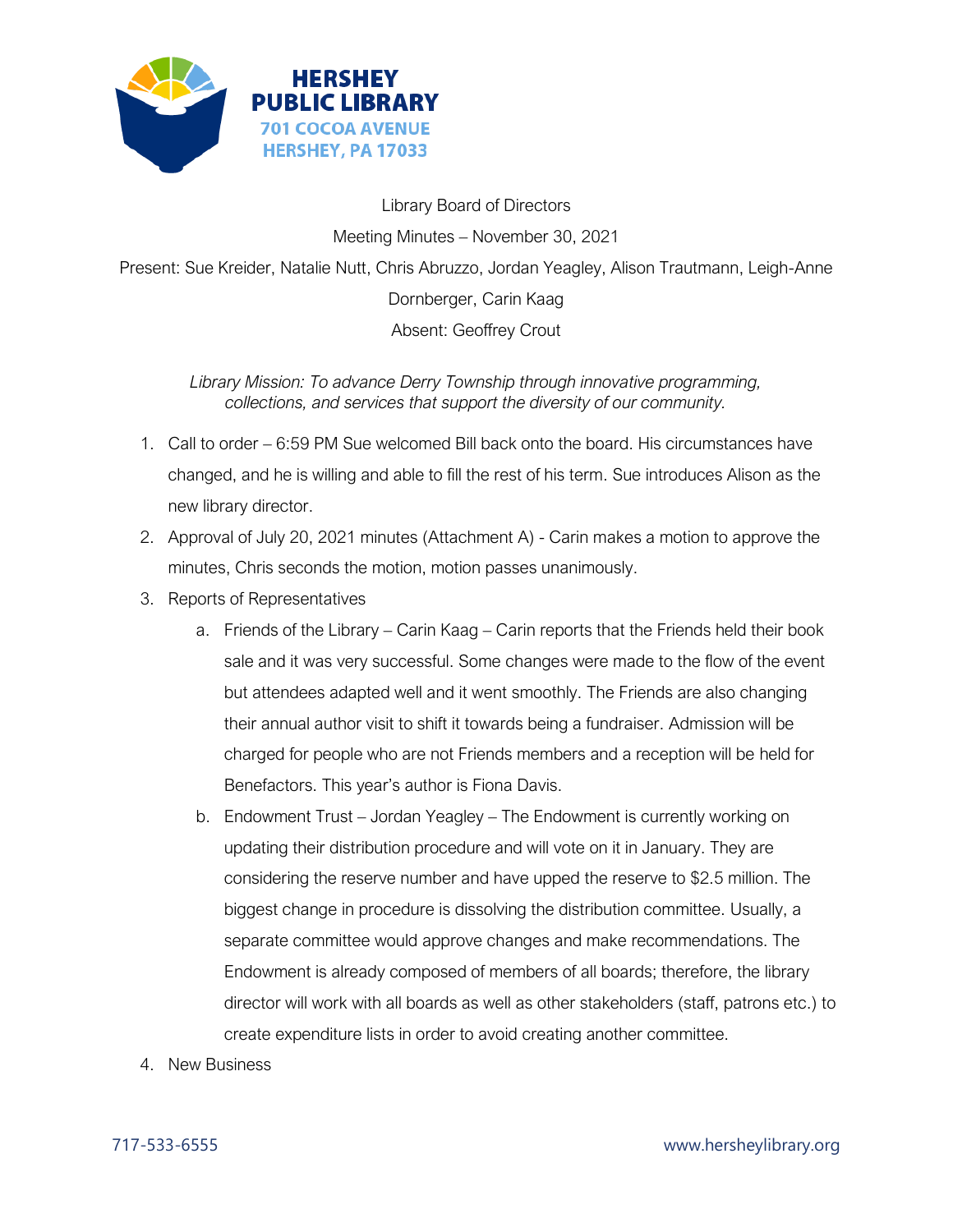

Library Board of Directors Meeting Minutes – November 30, 2021 Present: Sue Kreider, Natalie Nutt, Chris Abruzzo, Jordan Yeagley, Alison Trautmann, Leigh-Anne Dornberger, Carin Kaag Absent: Geoffrey Crout

*Library Mission: To advance Derry Township through innovative programming, collections, and services that support the diversity of our community.*

- 1. Call to order 6:59 PM Sue welcomed Bill back onto the board. His circumstances have changed, and he is willing and able to fill the rest of his term. Sue introduces Alison as the new library director.
- 2. Approval of July 20, 2021 minutes (Attachment A) Carin makes a motion to approve the minutes, Chris seconds the motion, motion passes unanimously.
- 3. Reports of Representatives
	- a. Friends of the Library Carin Kaag Carin reports that the Friends held their book sale and it was very successful. Some changes were made to the flow of the event but attendees adapted well and it went smoothly. The Friends are also changing their annual author visit to shift it towards being a fundraiser. Admission will be charged for people who are not Friends members and a reception will be held for Benefactors. This year's author is Fiona Davis.
	- b. Endowment Trust Jordan Yeagley The Endowment is currently working on updating their distribution procedure and will vote on it in January. They are considering the reserve number and have upped the reserve to \$2.5 million. The biggest change in procedure is dissolving the distribution committee. Usually, a separate committee would approve changes and make recommendations. The Endowment is already composed of members of all boards; therefore, the library director will work with all boards as well as other stakeholders (staff, patrons etc.) to create expenditure lists in order to avoid creating another committee.
- 4. New Business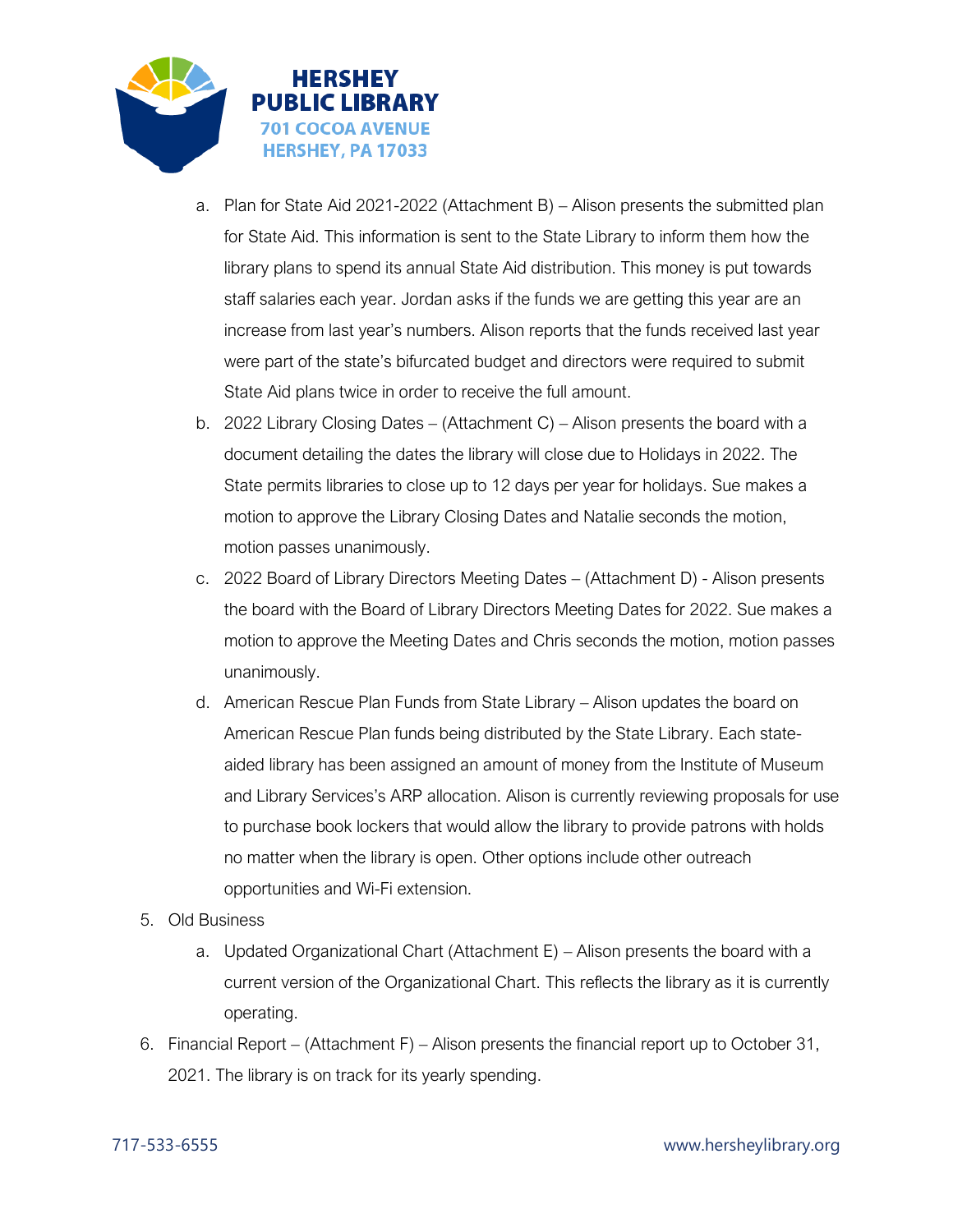

- a. Plan for State Aid 2021-2022 (Attachment B) Alison presents the submitted plan for State Aid. This information is sent to the State Library to inform them how the library plans to spend its annual State Aid distribution. This money is put towards staff salaries each year. Jordan asks if the funds we are getting this year are an increase from last year's numbers. Alison reports that the funds received last year were part of the state's bifurcated budget and directors were required to submit State Aid plans twice in order to receive the full amount.
- b. 2022 Library Closing Dates (Attachment C) Alison presents the board with a document detailing the dates the library will close due to Holidays in 2022. The State permits libraries to close up to 12 days per year for holidays. Sue makes a motion to approve the Library Closing Dates and Natalie seconds the motion, motion passes unanimously.
- c. 2022 Board of Library Directors Meeting Dates (Attachment D) Alison presents the board with the Board of Library Directors Meeting Dates for 2022. Sue makes a motion to approve the Meeting Dates and Chris seconds the motion, motion passes unanimously.
- d. American Rescue Plan Funds from State Library Alison updates the board on American Rescue Plan funds being distributed by the State Library. Each stateaided library has been assigned an amount of money from the Institute of Museum and Library Services's ARP allocation. Alison is currently reviewing proposals for use to purchase book lockers that would allow the library to provide patrons with holds no matter when the library is open. Other options include other outreach opportunities and Wi-Fi extension.
- 5. Old Business
	- a. Updated Organizational Chart (Attachment E) Alison presents the board with a current version of the Organizational Chart. This reflects the library as it is currently operating.
- 6. Financial Report (Attachment F) Alison presents the financial report up to October 31, 2021. The library is on track for its yearly spending.